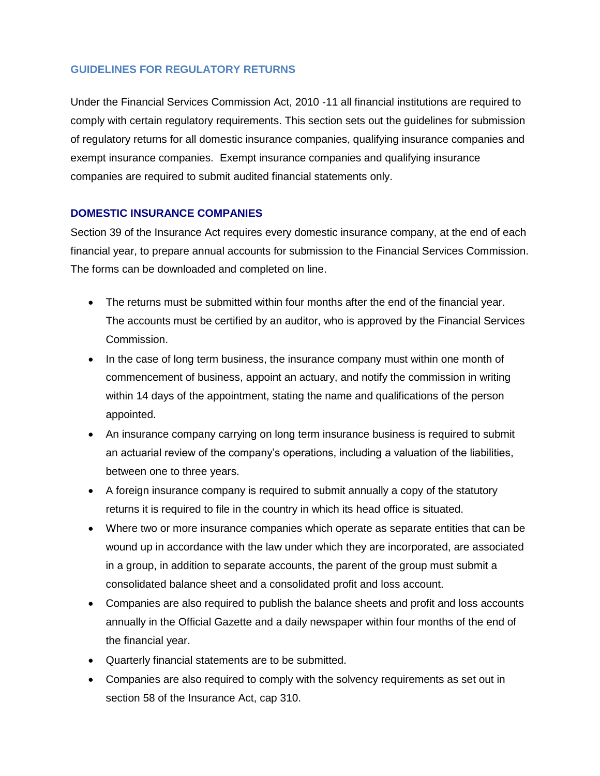## **GUIDELINES FOR REGULATORY RETURNS**

Under the Financial Services Commission Act, 2010 -11 all financial institutions are required to comply with certain regulatory requirements. This section sets out the guidelines for submission of regulatory returns for all domestic insurance companies, qualifying insurance companies and exempt insurance companies. Exempt insurance companies and qualifying insurance companies are required to submit audited financial statements only.

## **DOMESTIC INSURANCE COMPANIES**

Section 39 of the Insurance Act requires every domestic insurance company, at the end of each financial year, to prepare annual accounts for submission to the Financial Services Commission. The forms can be downloaded and completed on line.

- The returns must be submitted within four months after the end of the financial year. The accounts must be certified by an auditor, who is approved by the Financial Services Commission.
- In the case of long term business, the insurance company must within one month of commencement of business, appoint an actuary, and notify the commission in writing within 14 days of the appointment, stating the name and qualifications of the person appointed.
- An insurance company carrying on long term insurance business is required to submit an actuarial review of the company's operations, including a valuation of the liabilities, between one to three years.
- A foreign insurance company is required to submit annually a copy of the statutory returns it is required to file in the country in which its head office is situated.
- Where two or more insurance companies which operate as separate entities that can be wound up in accordance with the law under which they are incorporated, are associated in a group, in addition to separate accounts, the parent of the group must submit a consolidated balance sheet and a consolidated profit and loss account.
- Companies are also required to publish the balance sheets and profit and loss accounts annually in the Official Gazette and a daily newspaper within four months of the end of the financial year.
- Quarterly financial statements are to be submitted.
- Companies are also required to comply with the solvency requirements as set out in section 58 of the Insurance Act, cap 310.